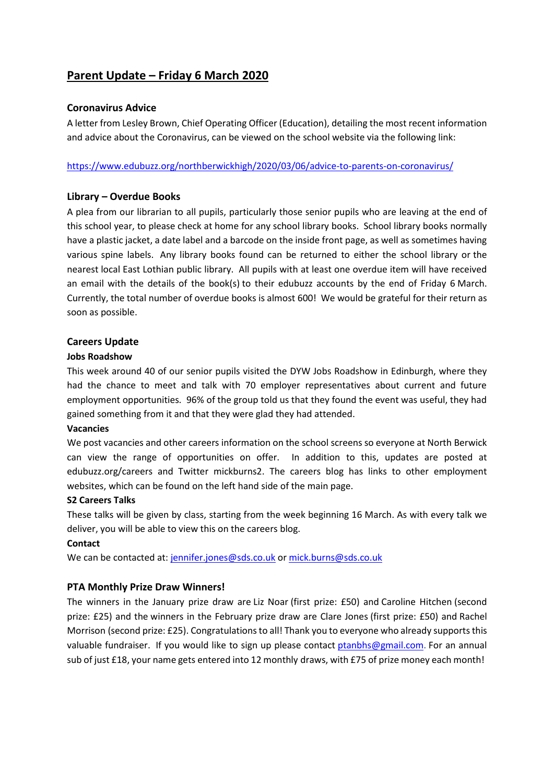# **Parent Update – Friday 6 March 2020**

# **Coronavirus Advice**

A letter from Lesley Brown, Chief Operating Officer (Education), detailing the most recent information and advice about the Coronavirus, can be viewed on the school website via the following link:

<https://www.edubuzz.org/northberwickhigh/2020/03/06/advice-to-parents-on-coronavirus/>

## **Library – Overdue Books**

A plea from our librarian to all pupils, particularly those senior pupils who are leaving at the end of this school year, to please check at home for any school library books. School library books normally have a plastic jacket, a date label and a barcode on the inside front page, as well as sometimes having various spine labels. Any library books found can be returned to either the school library or the nearest local East Lothian public library. All pupils with at least one overdue item will have received an email with the details of the book(s) to their edubuzz accounts by the end of Friday 6 March. Currently, the total number of overdue books is almost 600! We would be grateful for their return as soon as possible.

# **Careers Update**

## **Jobs Roadshow**

This week around 40 of our senior pupils visited the DYW Jobs Roadshow in Edinburgh, where they had the chance to meet and talk with 70 employer representatives about current and future employment opportunities. 96% of the group told us that they found the event was useful, they had gained something from it and that they were glad they had attended.

#### **Vacancies**

We post vacancies and other careers information on the school screens so everyone at North Berwick can view the range of opportunities on offer. In addition to this, updates are posted at edubuzz.org/careers and Twitter mickburns2. The careers blog has links to other employment websites, which can be found on the left hand side of the main page.

#### **S2 Careers Talks**

These talks will be given by class, starting from the week beginning 16 March. As with every talk we deliver, you will be able to view this on the careers blog.

#### **Contact**

We can be contacted at: [jennifer.jones@sds.co.uk](mailto:jennifer.jones@sds.co.uk) o[r mick.burns@sds.co.uk](mailto:mick.burns@sds.co.uk)

# **PTA Monthly Prize Draw Winners!**

The winners in the January prize draw are Liz Noar (first prize: £50) and Caroline Hitchen (second prize: £25) and the winners in the February prize draw are Clare Jones (first prize: £50) and Rachel Morrison (second prize: £25). Congratulations to all! Thank you to everyone who already supports this valuable fundraiser. If you would like to sign up please contact [ptanbhs@gmail.com.](mailto:ptanbhs@gmail.com) For an annual sub of just £18, your name gets entered into 12 monthly draws, with £75 of prize money each month!